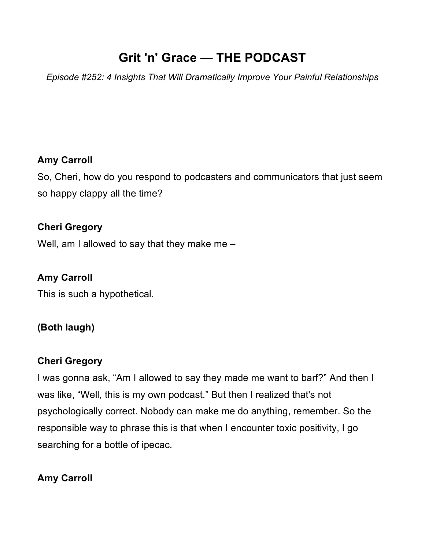# **Grit 'n' Grace — THE PODCAST**

*Episode #252: 4 Insights That Will Dramatically Improve Your Painful Relationships*

### **Amy Carroll**

So, Cheri, how do you respond to podcasters and communicators that just seem so happy clappy all the time?

### **Cheri Gregory**

Well, am I allowed to say that they make me –

### **Amy Carroll**

This is such a hypothetical.

### **(Both laugh)**

### **Cheri Gregory**

I was gonna ask, "Am I allowed to say they made me want to barf?" And then I was like, "Well, this is my own podcast." But then I realized that's not psychologically correct. Nobody can make me do anything, remember. So the responsible way to phrase this is that when I encounter toxic positivity, I go searching for a bottle of ipecac.

### **Amy Carroll**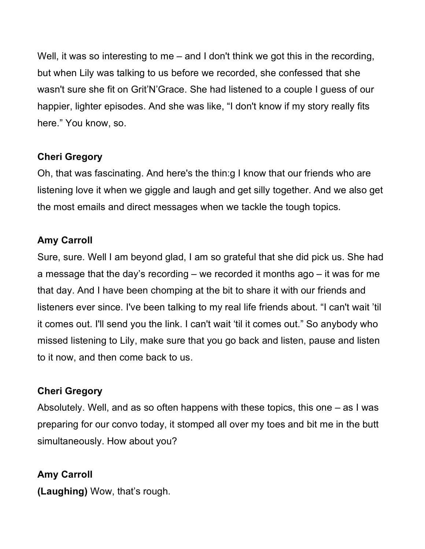Well, it was so interesting to me – and I don't think we got this in the recording, but when Lily was talking to us before we recorded, she confessed that she wasn't sure she fit on Grit'N'Grace. She had listened to a couple I guess of our happier, lighter episodes. And she was like, "I don't know if my story really fits here." You know, so.

### **Cheri Gregory**

Oh, that was fascinating. And here's the thin:g I know that our friends who are listening love it when we giggle and laugh and get silly together. And we also get the most emails and direct messages when we tackle the tough topics.

### **Amy Carroll**

Sure, sure. Well I am beyond glad, I am so grateful that she did pick us. She had a message that the day's recording – we recorded it months ago – it was for me that day. And I have been chomping at the bit to share it with our friends and listeners ever since. I've been talking to my real life friends about. "I can't wait 'til it comes out. I'll send you the link. I can't wait 'til it comes out." So anybody who missed listening to Lily, make sure that you go back and listen, pause and listen to it now, and then come back to us.

### **Cheri Gregory**

Absolutely. Well, and as so often happens with these topics, this one – as I was preparing for our convo today, it stomped all over my toes and bit me in the butt simultaneously. How about you?

### **Amy Carroll**

**(Laughing)** Wow, that's rough.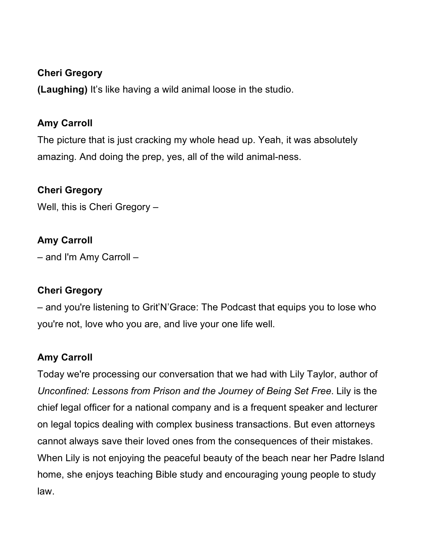### **Cheri Gregory**

**(Laughing)** It's like having a wild animal loose in the studio.

### **Amy Carroll**

The picture that is just cracking my whole head up. Yeah, it was absolutely amazing. And doing the prep, yes, all of the wild animal-ness.

### **Cheri Gregory**

Well, this is Cheri Gregory –

### **Amy Carroll**

– and I'm Amy Carroll –

### **Cheri Gregory**

– and you're listening to Grit'N'Grace: The Podcast that equips you to lose who you're not, love who you are, and live your one life well.

### **Amy Carroll**

Today we're processing our conversation that we had with Lily Taylor, author of *Unconfined: Lessons from Prison and the Journey of Being Set Free*. Lily is the chief legal officer for a national company and is a frequent speaker and lecturer on legal topics dealing with complex business transactions. But even attorneys cannot always save their loved ones from the consequences of their mistakes. When Lily is not enjoying the peaceful beauty of the beach near her Padre Island home, she enjoys teaching Bible study and encouraging young people to study law.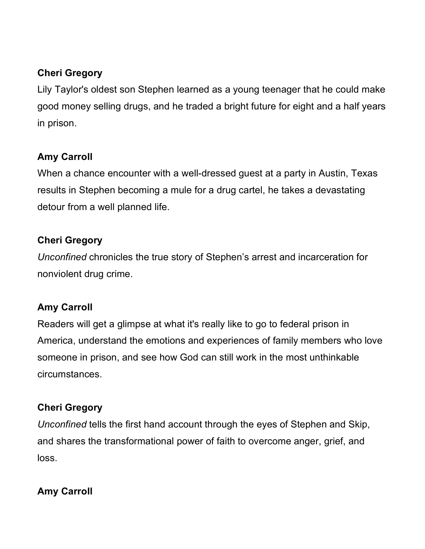### **Cheri Gregory**

Lily Taylor's oldest son Stephen learned as a young teenager that he could make good money selling drugs, and he traded a bright future for eight and a half years in prison.

# **Amy Carroll**

When a chance encounter with a well-dressed guest at a party in Austin, Texas results in Stephen becoming a mule for a drug cartel, he takes a devastating detour from a well planned life.

### **Cheri Gregory**

*Unconfined* chronicles the true story of Stephen's arrest and incarceration for nonviolent drug crime.

### **Amy Carroll**

Readers will get a glimpse at what it's really like to go to federal prison in America, understand the emotions and experiences of family members who love someone in prison, and see how God can still work in the most unthinkable circumstances.

# **Cheri Gregory**

*Unconfined* tells the first hand account through the eyes of Stephen and Skip, and shares the transformational power of faith to overcome anger, grief, and loss.

# **Amy Carroll**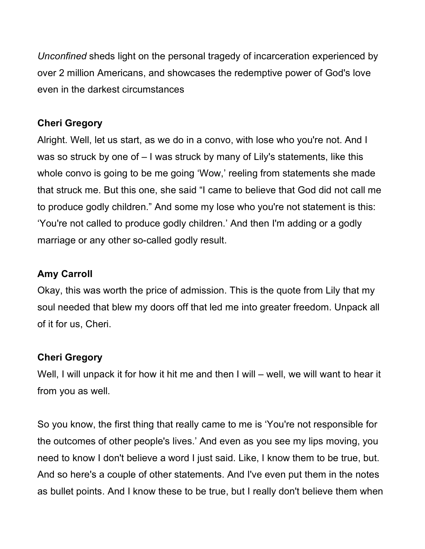*Unconfined* sheds light on the personal tragedy of incarceration experienced by over 2 million Americans, and showcases the redemptive power of God's love even in the darkest circumstances

### **Cheri Gregory**

Alright. Well, let us start, as we do in a convo, with lose who you're not. And I was so struck by one of – I was struck by many of Lily's statements, like this whole convo is going to be me going 'Wow,' reeling from statements she made that struck me. But this one, she said "I came to believe that God did not call me to produce godly children." And some my lose who you're not statement is this: 'You're not called to produce godly children.' And then I'm adding or a godly marriage or any other so-called godly result.

### **Amy Carroll**

Okay, this was worth the price of admission. This is the quote from Lily that my soul needed that blew my doors off that led me into greater freedom. Unpack all of it for us, Cheri.

### **Cheri Gregory**

Well, I will unpack it for how it hit me and then I will – well, we will want to hear it from you as well.

So you know, the first thing that really came to me is 'You're not responsible for the outcomes of other people's lives.' And even as you see my lips moving, you need to know I don't believe a word I just said. Like, I know them to be true, but. And so here's a couple of other statements. And I've even put them in the notes as bullet points. And I know these to be true, but I really don't believe them when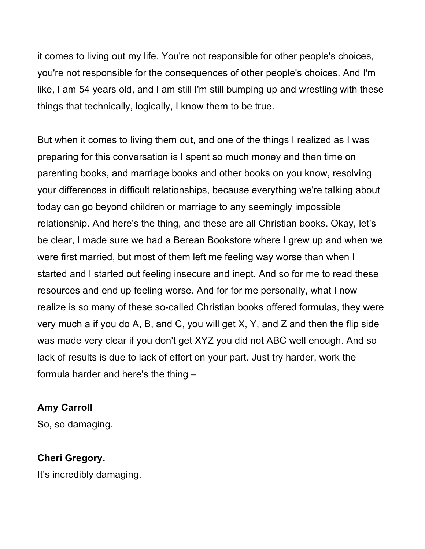it comes to living out my life. You're not responsible for other people's choices, you're not responsible for the consequences of other people's choices. And I'm like, I am 54 years old, and I am still I'm still bumping up and wrestling with these things that technically, logically, I know them to be true.

But when it comes to living them out, and one of the things I realized as I was preparing for this conversation is I spent so much money and then time on parenting books, and marriage books and other books on you know, resolving your differences in difficult relationships, because everything we're talking about today can go beyond children or marriage to any seemingly impossible relationship. And here's the thing, and these are all Christian books. Okay, let's be clear, I made sure we had a Berean Bookstore where I grew up and when we were first married, but most of them left me feeling way worse than when I started and I started out feeling insecure and inept. And so for me to read these resources and end up feeling worse. And for for me personally, what I now realize is so many of these so-called Christian books offered formulas, they were very much a if you do A, B, and C, you will get X, Y, and Z and then the flip side was made very clear if you don't get XYZ you did not ABC well enough. And so lack of results is due to lack of effort on your part. Just try harder, work the formula harder and here's the thing –

### **Amy Carroll**

So, so damaging.

### **Cheri Gregory.**

It's incredibly damaging.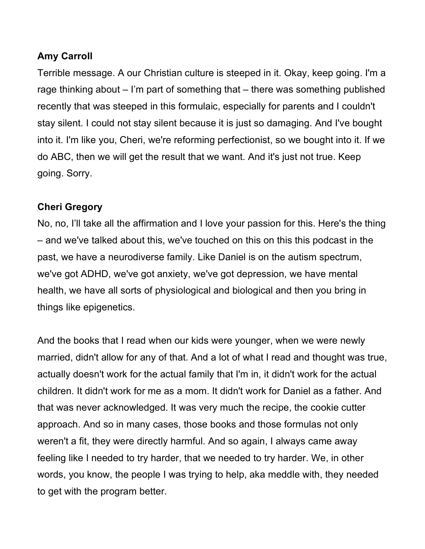### **Amy Carroll**

Terrible message. A our Christian culture is steeped in it. Okay, keep going. I'm a rage thinking about – I'm part of something that – there was something published recently that was steeped in this formulaic, especially for parents and I couldn't stay silent. I could not stay silent because it is just so damaging. And I've bought into it. I'm like you, Cheri, we're reforming perfectionist, so we bought into it. If we do ABC, then we will get the result that we want. And it's just not true. Keep going. Sorry.

### **Cheri Gregory**

No, no, I'll take all the affirmation and I love your passion for this. Here's the thing – and we've talked about this, we've touched on this on this this podcast in the past, we have a neurodiverse family. Like Daniel is on the autism spectrum, we've got ADHD, we've got anxiety, we've got depression, we have mental health, we have all sorts of physiological and biological and then you bring in things like epigenetics.

And the books that I read when our kids were younger, when we were newly married, didn't allow for any of that. And a lot of what I read and thought was true, actually doesn't work for the actual family that I'm in, it didn't work for the actual children. It didn't work for me as a mom. It didn't work for Daniel as a father. And that was never acknowledged. It was very much the recipe, the cookie cutter approach. And so in many cases, those books and those formulas not only weren't a fit, they were directly harmful. And so again, I always came away feeling like I needed to try harder, that we needed to try harder. We, in other words, you know, the people I was trying to help, aka meddle with, they needed to get with the program better.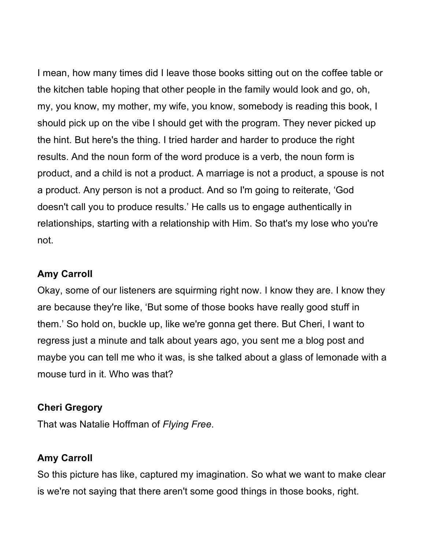I mean, how many times did I leave those books sitting out on the coffee table or the kitchen table hoping that other people in the family would look and go, oh, my, you know, my mother, my wife, you know, somebody is reading this book, I should pick up on the vibe I should get with the program. They never picked up the hint. But here's the thing. I tried harder and harder to produce the right results. And the noun form of the word produce is a verb, the noun form is product, and a child is not a product. A marriage is not a product, a spouse is not a product. Any person is not a product. And so I'm going to reiterate, 'God doesn't call you to produce results.' He calls us to engage authentically in relationships, starting with a relationship with Him. So that's my lose who you're not.

### **Amy Carroll**

Okay, some of our listeners are squirming right now. I know they are. I know they are because they're like, 'But some of those books have really good stuff in them.' So hold on, buckle up, like we're gonna get there. But Cheri, I want to regress just a minute and talk about years ago, you sent me a blog post and maybe you can tell me who it was, is she talked about a glass of lemonade with a mouse turd in it. Who was that?

#### **Cheri Gregory**

That was Natalie Hoffman of *Flying Free*.

### **Amy Carroll**

So this picture has like, captured my imagination. So what we want to make clear is we're not saying that there aren't some good things in those books, right.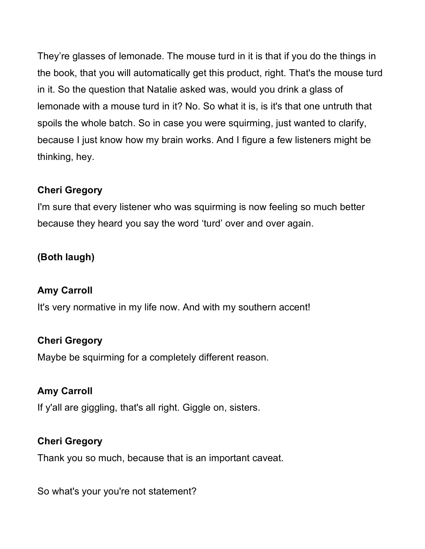They're glasses of lemonade. The mouse turd in it is that if you do the things in the book, that you will automatically get this product, right. That's the mouse turd in it. So the question that Natalie asked was, would you drink a glass of lemonade with a mouse turd in it? No. So what it is, is it's that one untruth that spoils the whole batch. So in case you were squirming, just wanted to clarify, because I just know how my brain works. And I figure a few listeners might be thinking, hey.

### **Cheri Gregory**

I'm sure that every listener who was squirming is now feeling so much better because they heard you say the word 'turd' over and over again.

# **(Both laugh)**

### **Amy Carroll**

It's very normative in my life now. And with my southern accent!

### **Cheri Gregory**

Maybe be squirming for a completely different reason.

# **Amy Carroll**

If y'all are giggling, that's all right. Giggle on, sisters.

### **Cheri Gregory**

Thank you so much, because that is an important caveat.

So what's your you're not statement?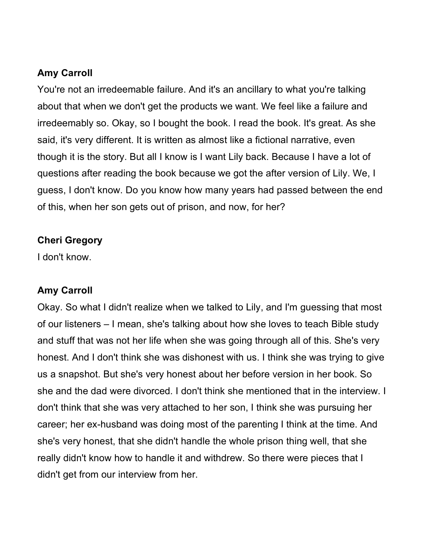### **Amy Carroll**

You're not an irredeemable failure. And it's an ancillary to what you're talking about that when we don't get the products we want. We feel like a failure and irredeemably so. Okay, so I bought the book. I read the book. It's great. As she said, it's very different. It is written as almost like a fictional narrative, even though it is the story. But all I know is I want Lily back. Because I have a lot of questions after reading the book because we got the after version of Lily. We, I guess, I don't know. Do you know how many years had passed between the end of this, when her son gets out of prison, and now, for her?

### **Cheri Gregory**

I don't know.

### **Amy Carroll**

Okay. So what I didn't realize when we talked to Lily, and I'm guessing that most of our listeners – I mean, she's talking about how she loves to teach Bible study and stuff that was not her life when she was going through all of this. She's very honest. And I don't think she was dishonest with us. I think she was trying to give us a snapshot. But she's very honest about her before version in her book. So she and the dad were divorced. I don't think she mentioned that in the interview. I don't think that she was very attached to her son, I think she was pursuing her career; her ex-husband was doing most of the parenting I think at the time. And she's very honest, that she didn't handle the whole prison thing well, that she really didn't know how to handle it and withdrew. So there were pieces that I didn't get from our interview from her.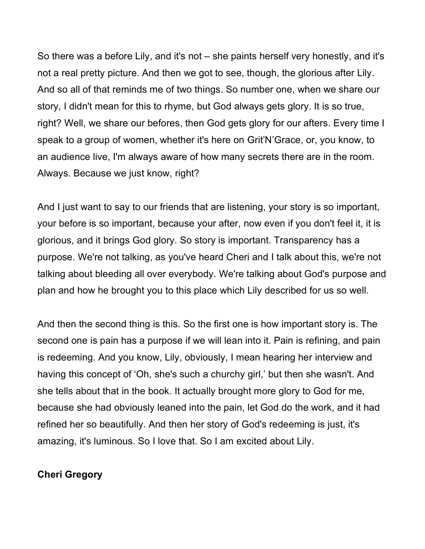So there was a before Lily, and it's not – she paints herself very honestly, and it's not a real pretty picture. And then we got to see, though, the glorious after Lily. And so all of that reminds me of two things. So number one, when we share our story, I didn't mean for this to rhyme, but God always gets glory. It is so true, right? Well, we share our befores, then God gets glory for our afters. Every time I speak to a group of women, whether it's here on Grit'N'Grace, or, you know, to an audience live, I'm always aware of how many secrets there are in the room. Always. Because we just know, right?

And I just want to say to our friends that are listening, your story is so important, your before is so important, because your after, now even if you don't feel it, it is glorious, and it brings God glory. So story is important. Transparency has a purpose. We're not talking, as you've heard Cheri and I talk about this, we're not talking about bleeding all over everybody. We're talking about God's purpose and plan and how he brought you to this place which Lily described for us so well.

And then the second thing is this. So the first one is how important story is. The second one is pain has a purpose if we will lean into it. Pain is refining, and pain is redeeming. And you know, Lily, obviously, I mean hearing her interview and having this concept of 'Oh, she's such a churchy girl,' but then she wasn't. And she tells about that in the book. It actually brought more glory to God for me, because she had obviously leaned into the pain, let God do the work, and it had refined her so beautifully. And then her story of God's redeeming is just, it's amazing, it's luminous. So I love that. So I am excited about Lily.

### **Cheri Gregory**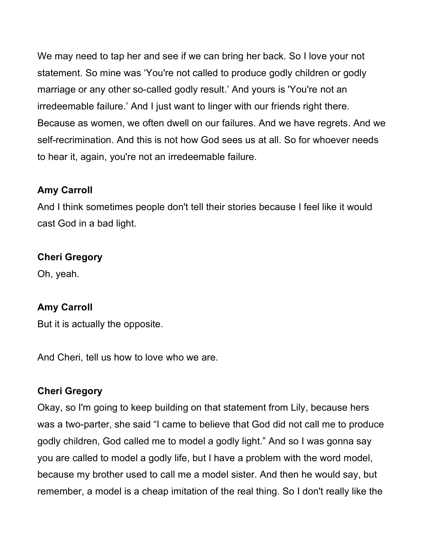We may need to tap her and see if we can bring her back. So I love your not statement. So mine was 'You're not called to produce godly children or godly marriage or any other so-called godly result.' And yours is 'You're not an irredeemable failure.' And I just want to linger with our friends right there. Because as women, we often dwell on our failures. And we have regrets. And we self-recrimination. And this is not how God sees us at all. So for whoever needs to hear it, again, you're not an irredeemable failure.

### **Amy Carroll**

And I think sometimes people don't tell their stories because I feel like it would cast God in a bad light.

### **Cheri Gregory**

Oh, yeah.

### **Amy Carroll**

But it is actually the opposite.

And Cheri, tell us how to love who we are.

#### **Cheri Gregory**

Okay, so I'm going to keep building on that statement from Lily, because hers was a two-parter, she said "I came to believe that God did not call me to produce godly children, God called me to model a godly light." And so I was gonna say you are called to model a godly life, but I have a problem with the word model, because my brother used to call me a model sister. And then he would say, but remember, a model is a cheap imitation of the real thing. So I don't really like the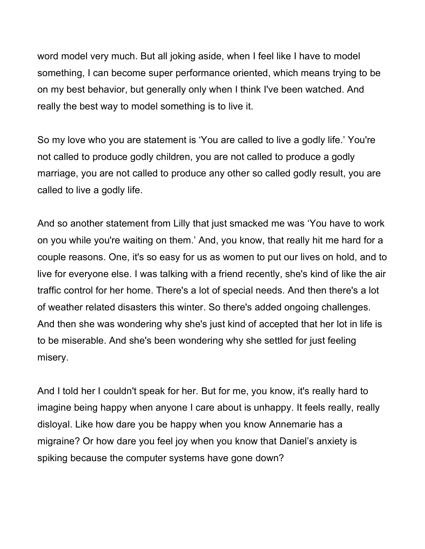word model very much. But all joking aside, when I feel like I have to model something, I can become super performance oriented, which means trying to be on my best behavior, but generally only when I think I've been watched. And really the best way to model something is to live it.

So my love who you are statement is 'You are called to live a godly life.' You're not called to produce godly children, you are not called to produce a godly marriage, you are not called to produce any other so called godly result, you are called to live a godly life.

And so another statement from Lilly that just smacked me was 'You have to work on you while you're waiting on them.' And, you know, that really hit me hard for a couple reasons. One, it's so easy for us as women to put our lives on hold, and to live for everyone else. I was talking with a friend recently, she's kind of like the air traffic control for her home. There's a lot of special needs. And then there's a lot of weather related disasters this winter. So there's added ongoing challenges. And then she was wondering why she's just kind of accepted that her lot in life is to be miserable. And she's been wondering why she settled for just feeling misery.

And I told her I couldn't speak for her. But for me, you know, it's really hard to imagine being happy when anyone I care about is unhappy. It feels really, really disloyal. Like how dare you be happy when you know Annemarie has a migraine? Or how dare you feel joy when you know that Daniel's anxiety is spiking because the computer systems have gone down?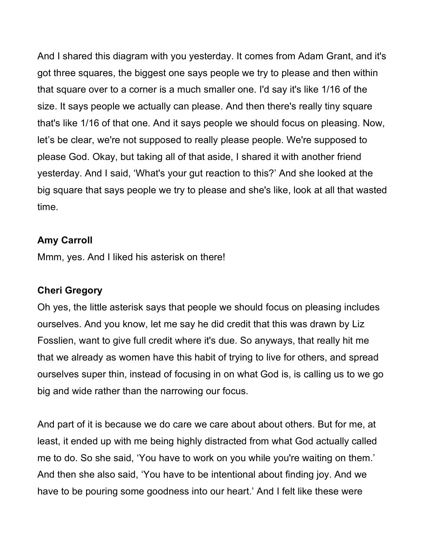And I shared this diagram with you yesterday. It comes from Adam Grant, and it's got three squares, the biggest one says people we try to please and then within that square over to a corner is a much smaller one. I'd say it's like 1/16 of the size. It says people we actually can please. And then there's really tiny square that's like 1/16 of that one. And it says people we should focus on pleasing. Now, let's be clear, we're not supposed to really please people. We're supposed to please God. Okay, but taking all of that aside, I shared it with another friend yesterday. And I said, 'What's your gut reaction to this?' And she looked at the big square that says people we try to please and she's like, look at all that wasted time.

### **Amy Carroll**

Mmm, yes. And I liked his asterisk on there!

#### **Cheri Gregory**

Oh yes, the little asterisk says that people we should focus on pleasing includes ourselves. And you know, let me say he did credit that this was drawn by Liz Fosslien, want to give full credit where it's due. So anyways, that really hit me that we already as women have this habit of trying to live for others, and spread ourselves super thin, instead of focusing in on what God is, is calling us to we go big and wide rather than the narrowing our focus.

And part of it is because we do care we care about about others. But for me, at least, it ended up with me being highly distracted from what God actually called me to do. So she said, 'You have to work on you while you're waiting on them.' And then she also said, 'You have to be intentional about finding joy. And we have to be pouring some goodness into our heart.' And I felt like these were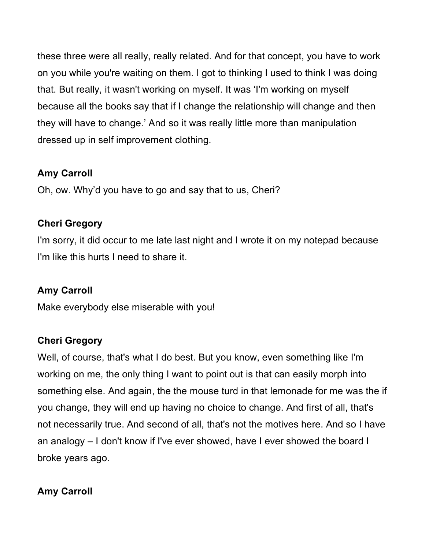these three were all really, really related. And for that concept, you have to work on you while you're waiting on them. I got to thinking I used to think I was doing that. But really, it wasn't working on myself. It was 'I'm working on myself because all the books say that if I change the relationship will change and then they will have to change.' And so it was really little more than manipulation dressed up in self improvement clothing.

# **Amy Carroll**

Oh, ow. Why'd you have to go and say that to us, Cheri?

### **Cheri Gregory**

I'm sorry, it did occur to me late last night and I wrote it on my notepad because I'm like this hurts I need to share it.

# **Amy Carroll**

Make everybody else miserable with you!

# **Cheri Gregory**

Well, of course, that's what I do best. But you know, even something like I'm working on me, the only thing I want to point out is that can easily morph into something else. And again, the the mouse turd in that lemonade for me was the if you change, they will end up having no choice to change. And first of all, that's not necessarily true. And second of all, that's not the motives here. And so I have an analogy – I don't know if I've ever showed, have I ever showed the board I broke years ago.

# **Amy Carroll**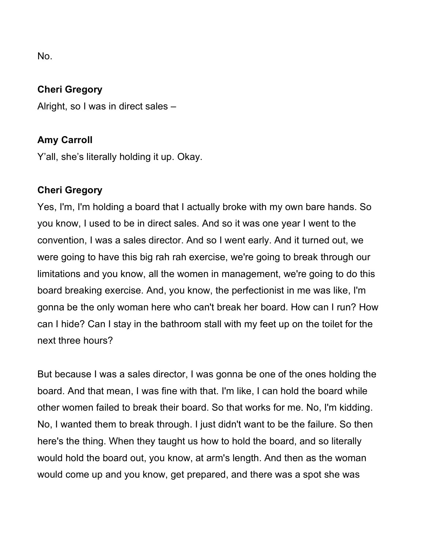No.

#### **Cheri Gregory**

Alright, so I was in direct sales –

### **Amy Carroll**

Y'all, she's literally holding it up. Okay.

### **Cheri Gregory**

Yes, I'm, I'm holding a board that I actually broke with my own bare hands. So you know, I used to be in direct sales. And so it was one year I went to the convention, I was a sales director. And so I went early. And it turned out, we were going to have this big rah rah exercise, we're going to break through our limitations and you know, all the women in management, we're going to do this board breaking exercise. And, you know, the perfectionist in me was like, I'm gonna be the only woman here who can't break her board. How can I run? How can I hide? Can I stay in the bathroom stall with my feet up on the toilet for the next three hours?

But because I was a sales director, I was gonna be one of the ones holding the board. And that mean, I was fine with that. I'm like, I can hold the board while other women failed to break their board. So that works for me. No, I'm kidding. No, I wanted them to break through. I just didn't want to be the failure. So then here's the thing. When they taught us how to hold the board, and so literally would hold the board out, you know, at arm's length. And then as the woman would come up and you know, get prepared, and there was a spot she was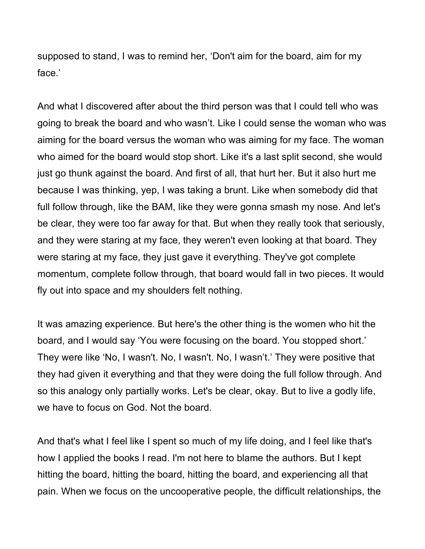supposed to stand, I was to remind her, 'Don't aim for the board, aim for my face.'

And what I discovered after about the third person was that I could tell who was going to break the board and who wasn't. Like I could sense the woman who was aiming for the board versus the woman who was aiming for my face. The woman who aimed for the board would stop short. Like it's a last split second, she would just go thunk against the board. And first of all, that hurt her. But it also hurt me because I was thinking, yep, I was taking a brunt. Like when somebody did that full follow through, like the BAM, like they were gonna smash my nose. And let's be clear, they were too far away for that. But when they really took that seriously, and they were staring at my face, they weren't even looking at that board. They were staring at my face, they just gave it everything. They've got complete momentum, complete follow through, that board would fall in two pieces. It would fly out into space and my shoulders felt nothing.

It was amazing experience. But here's the other thing is the women who hit the board, and I would say 'You were focusing on the board. You stopped short.' They were like 'No, I wasn't. No, I wasn't. No, I wasn't.' They were positive that they had given it everything and that they were doing the full follow through. And so this analogy only partially works. Let's be clear, okay. But to live a godly life, we have to focus on God. Not the board.

And that's what I feel like I spent so much of my life doing, and I feel like that's how I applied the books I read. I'm not here to blame the authors. But I kept hitting the board, hitting the board, hitting the board, and experiencing all that pain. When we focus on the uncooperative people, the difficult relationships, the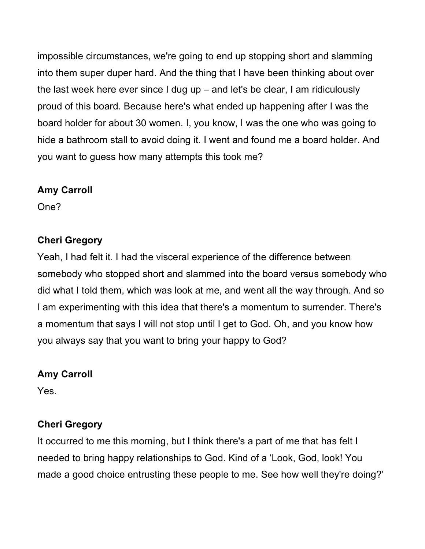impossible circumstances, we're going to end up stopping short and slamming into them super duper hard. And the thing that I have been thinking about over the last week here ever since I dug up – and let's be clear, I am ridiculously proud of this board. Because here's what ended up happening after I was the board holder for about 30 women. I, you know, I was the one who was going to hide a bathroom stall to avoid doing it. I went and found me a board holder. And you want to guess how many attempts this took me?

### **Amy Carroll**

One?

### **Cheri Gregory**

Yeah, I had felt it. I had the visceral experience of the difference between somebody who stopped short and slammed into the board versus somebody who did what I told them, which was look at me, and went all the way through. And so I am experimenting with this idea that there's a momentum to surrender. There's a momentum that says I will not stop until I get to God. Oh, and you know how you always say that you want to bring your happy to God?

### **Amy Carroll**

Yes.

### **Cheri Gregory**

It occurred to me this morning, but I think there's a part of me that has felt I needed to bring happy relationships to God. Kind of a 'Look, God, look! You made a good choice entrusting these people to me. See how well they're doing?'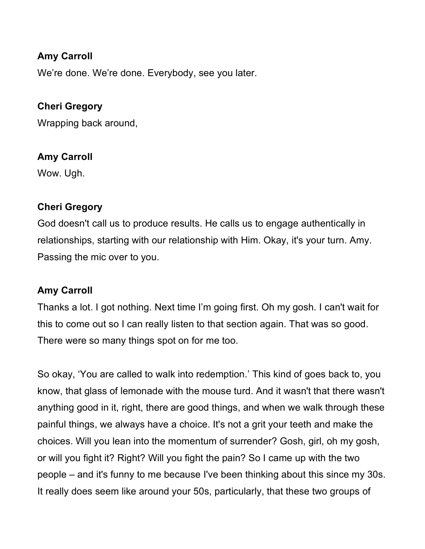### **Amy Carroll**

We're done. We're done. Everybody, see you later.

### **Cheri Gregory**

Wrapping back around,

#### **Amy Carroll**

Wow. Ugh.

#### **Cheri Gregory**

God doesn't call us to produce results. He calls us to engage authentically in relationships, starting with our relationship with Him. Okay, it's your turn. Amy. Passing the mic over to you.

#### **Amy Carroll**

Thanks a lot. I got nothing. Next time I'm going first. Oh my gosh. I can't wait for this to come out so I can really listen to that section again. That was so good. There were so many things spot on for me too.

So okay, 'You are called to walk into redemption.' This kind of goes back to, you know, that glass of lemonade with the mouse turd. And it wasn't that there wasn't anything good in it, right, there are good things, and when we walk through these painful things, we always have a choice. It's not a grit your teeth and make the choices. Will you lean into the momentum of surrender? Gosh, girl, oh my gosh, or will you fight it? Right? Will you fight the pain? So I came up with the two people – and it's funny to me because I've been thinking about this since my 30s. It really does seem like around your 50s, particularly, that these two groups of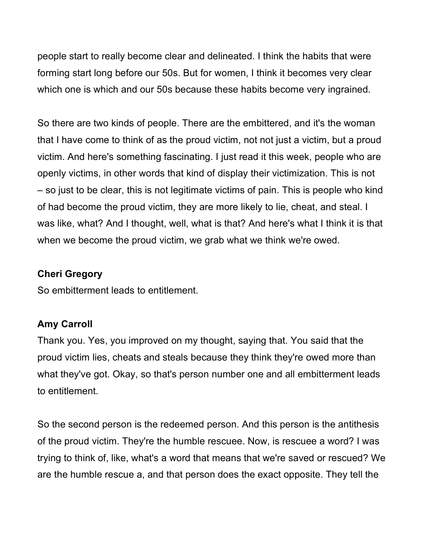people start to really become clear and delineated. I think the habits that were forming start long before our 50s. But for women, I think it becomes very clear which one is which and our 50s because these habits become very ingrained.

So there are two kinds of people. There are the embittered, and it's the woman that I have come to think of as the proud victim, not not just a victim, but a proud victim. And here's something fascinating. I just read it this week, people who are openly victims, in other words that kind of display their victimization. This is not – so just to be clear, this is not legitimate victims of pain. This is people who kind of had become the proud victim, they are more likely to lie, cheat, and steal. I was like, what? And I thought, well, what is that? And here's what I think it is that when we become the proud victim, we grab what we think we're owed.

#### **Cheri Gregory**

So embitterment leads to entitlement.

### **Amy Carroll**

Thank you. Yes, you improved on my thought, saying that. You said that the proud victim lies, cheats and steals because they think they're owed more than what they've got. Okay, so that's person number one and all embitterment leads to entitlement.

So the second person is the redeemed person. And this person is the antithesis of the proud victim. They're the humble rescuee. Now, is rescuee a word? I was trying to think of, like, what's a word that means that we're saved or rescued? We are the humble rescue a, and that person does the exact opposite. They tell the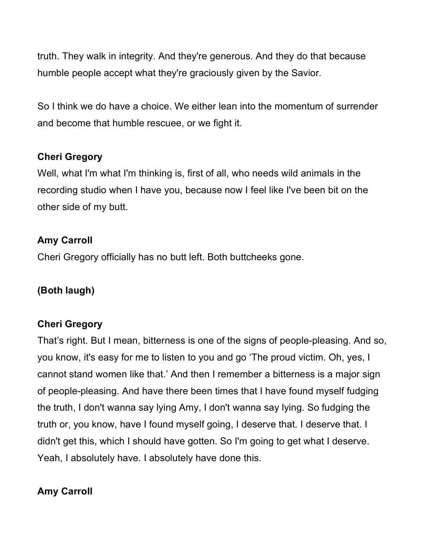truth. They walk in integrity. And they're generous. And they do that because humble people accept what they're graciously given by the Savior.

So I think we do have a choice. We either lean into the momentum of surrender and become that humble rescuee, or we fight it.

### **Cheri Gregory**

Well, what I'm what I'm thinking is, first of all, who needs wild animals in the recording studio when I have you, because now I feel like I've been bit on the other side of my butt.

### **Amy Carroll**

Cheri Gregory officially has no butt left. Both buttcheeks gone.

### **(Both laugh)**

### **Cheri Gregory**

That's right. But I mean, bitterness is one of the signs of people-pleasing. And so, you know, it's easy for me to listen to you and go 'The proud victim. Oh, yes, I cannot stand women like that.' And then I remember a bitterness is a major sign of people-pleasing. And have there been times that I have found myself fudging the truth, I don't wanna say lying Amy, I don't wanna say lying. So fudging the truth or, you know, have I found myself going, I deserve that. I deserve that. I didn't get this, which I should have gotten. So I'm going to get what I deserve. Yeah, I absolutely have. I absolutely have done this.

### **Amy Carroll**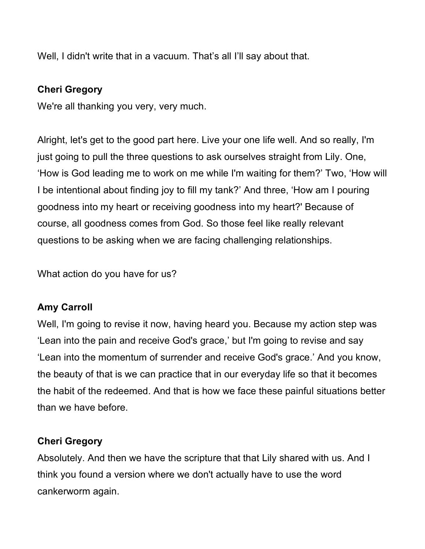Well, I didn't write that in a vacuum. That's all I'll say about that.

### **Cheri Gregory**

We're all thanking you very, very much.

Alright, let's get to the good part here. Live your one life well. And so really, I'm just going to pull the three questions to ask ourselves straight from Lily. One, 'How is God leading me to work on me while I'm waiting for them?' Two, 'How will I be intentional about finding joy to fill my tank?' And three, 'How am I pouring goodness into my heart or receiving goodness into my heart?' Because of course, all goodness comes from God. So those feel like really relevant questions to be asking when we are facing challenging relationships.

What action do you have for us?

### **Amy Carroll**

Well, I'm going to revise it now, having heard you. Because my action step was 'Lean into the pain and receive God's grace,' but I'm going to revise and say 'Lean into the momentum of surrender and receive God's grace.' And you know, the beauty of that is we can practice that in our everyday life so that it becomes the habit of the redeemed. And that is how we face these painful situations better than we have before.

### **Cheri Gregory**

Absolutely. And then we have the scripture that that Lily shared with us. And I think you found a version where we don't actually have to use the word cankerworm again.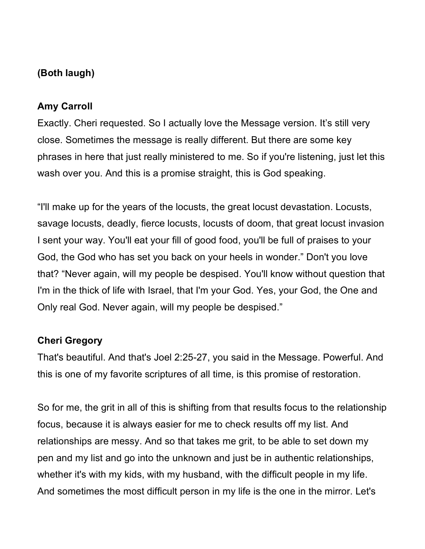### **(Both laugh)**

### **Amy Carroll**

Exactly. Cheri requested. So I actually love the Message version. It's still very close. Sometimes the message is really different. But there are some key phrases in here that just really ministered to me. So if you're listening, just let this wash over you. And this is a promise straight, this is God speaking.

"I'll make up for the years of the locusts, the great locust devastation. Locusts, savage locusts, deadly, fierce locusts, locusts of doom, that great locust invasion I sent your way. You'll eat your fill of good food, you'll be full of praises to your God, the God who has set you back on your heels in wonder." Don't you love that? "Never again, will my people be despised. You'll know without question that I'm in the thick of life with Israel, that I'm your God. Yes, your God, the One and Only real God. Never again, will my people be despised."

### **Cheri Gregory**

That's beautiful. And that's Joel 2:25-27, you said in the Message. Powerful. And this is one of my favorite scriptures of all time, is this promise of restoration.

So for me, the grit in all of this is shifting from that results focus to the relationship focus, because it is always easier for me to check results off my list. And relationships are messy. And so that takes me grit, to be able to set down my pen and my list and go into the unknown and just be in authentic relationships, whether it's with my kids, with my husband, with the difficult people in my life. And sometimes the most difficult person in my life is the one in the mirror. Let's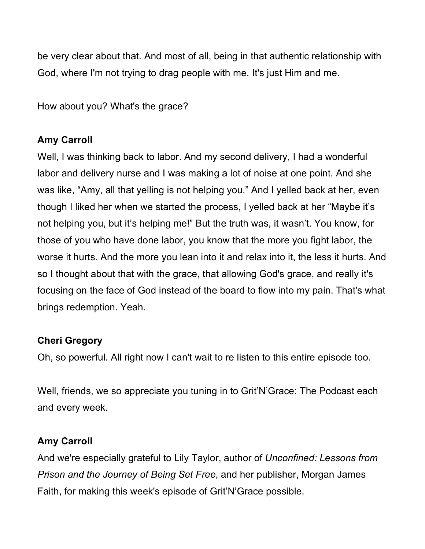be very clear about that. And most of all, being in that authentic relationship with God, where I'm not trying to drag people with me. It's just Him and me.

How about you? What's the grace?

# **Amy Carroll**

Well, I was thinking back to labor. And my second delivery, I had a wonderful labor and delivery nurse and I was making a lot of noise at one point. And she was like, "Amy, all that yelling is not helping you." And I yelled back at her, even though I liked her when we started the process, I yelled back at her "Maybe it's not helping you, but it's helping me!" But the truth was, it wasn't. You know, for those of you who have done labor, you know that the more you fight labor, the worse it hurts. And the more you lean into it and relax into it, the less it hurts. And so I thought about that with the grace, that allowing God's grace, and really it's focusing on the face of God instead of the board to flow into my pain. That's what brings redemption. Yeah.

# **Cheri Gregory**

Oh, so powerful. All right now I can't wait to re listen to this entire episode too.

Well, friends, we so appreciate you tuning in to Grit'N'Grace: The Podcast each and every week.

# **Amy Carroll**

And we're especially grateful to Lily Taylor, author of *Unconfined: Lessons from Prison and the Journey of Being Set Free*, and her publisher, Morgan James Faith, for making this week's episode of Grit'N'Grace possible.